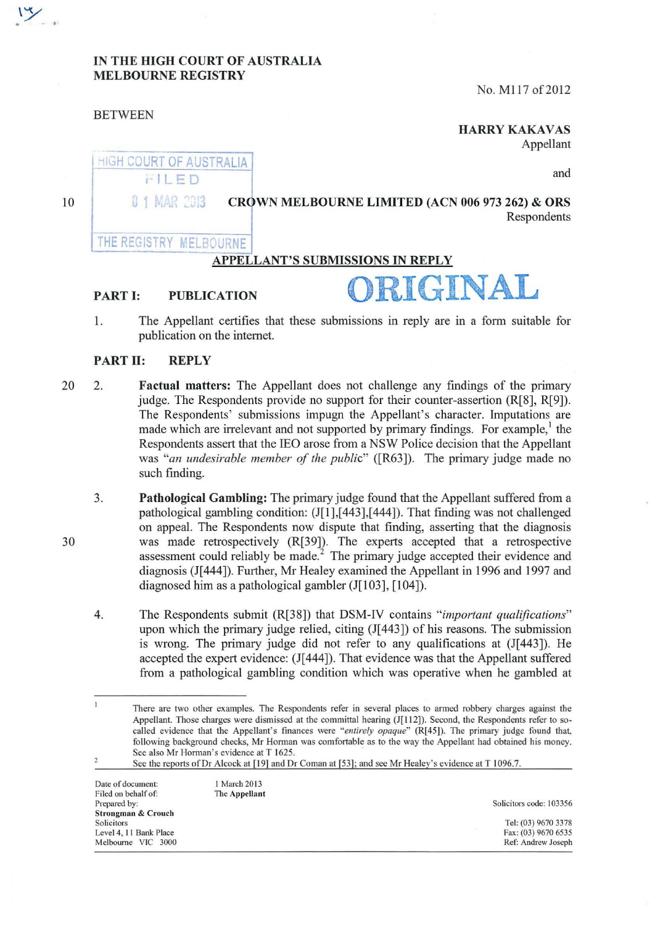#### IN THE HIGH COURT OF AUSTRALIA MELBOURNE REGISTRY

No. M117 of 2012

#### BETWEEN

## **HARRY KAKAVAS**

Appellant

and

10

#### CROWN MELBOURNE LIMITED (ACN 006 973 262) & ORS **Respondents**

## THE REGISTRY MELBOURNE

0 1 MAR 2013

**HIGH COURT OF AUSTRALIA** FILED

## APPELLANT'S SUBMISSIONS IN REPLY

# PART I: PUBLICATION ORIGINA

1. The Appellant certifies that these submissions in reply are in a form suitable for publication on the internet.

#### PART II: REPLY

- 20 2. **Factual matters:** The Appellant does not challenge any findings of the primary judge. The Respondents provide no support for their counter-assertion  $(R[8], R[9])$ . The Respondents' submissions impugn the Appellant's character. Imputations are made which are irrelevant and not supported by primary findings. For example, the Respondents assert that the lEO arose from a NSW Police decision that the Appellant was *"an undesirable member of the public"* ([R63]). The primary judge made no such finding.
	- 3. Pathological Gambling: The primary judge found that the Appellant suffered from a pathological gambling condition:  $(J[1],[443],[444])$ . That finding was not challenged on appeal. The Respondents now dispute that finding, asserting that the diagnosis was made retrospectively (R[39]). The experts accepted that a retrospective assessment could reliably be made.<sup> $\frac{2}{3}$ </sup> The primary judge accepted their evidence and diagnosis (J[444]). Further, Mr Healey examined the Appellant in 1996 and 1997 and diagnosed him as a pathological gambler (J[103], [104]).
	- 4. The Respondents submit (R[38]) that DSM-IV contains *"important qualifications"*  upon which the primary judge relied, citing (J[ 443]) of his reasons. The submission is wrong. The primary judge did not refer to any qualifications at  $(J[443])$ . He accepted the expert evidence: (J[ 444]). That evidence was that the Appellant suffered from a pathological gambling condition which was operative when he gambled at

See the reports of Dr Alcock at [19] and Dr Coman at [53]; and see Mr Healey's evidence at T 1096.7.

| 1 March 2013<br>Date of document:<br>Filed on behalf of:<br>The Appellant | Solicitors code: 103356 |
|---------------------------------------------------------------------------|-------------------------|
|                                                                           |                         |
|                                                                           |                         |
|                                                                           | Tel: (03) 9670 3378     |
|                                                                           | Fax: (03) 9670 6535     |
|                                                                           | Ref: Andrew Joseph      |
|                                                                           |                         |



 $\mathbf{1}$ There are two other examples. The Respondents refer in several places to armed robbery charges against the Appellant. Those charges were dismissed at the committal hearing (J[112]). Second, the Respondents refer to socalled evidence that the Appellant's finances were "entirely opaque" (R[45]). The primary judge found that, following background checks, Mr Horman was comfortable as to the way the Appellant had obtained his money. See also Mr Horman's evidence at T 1625.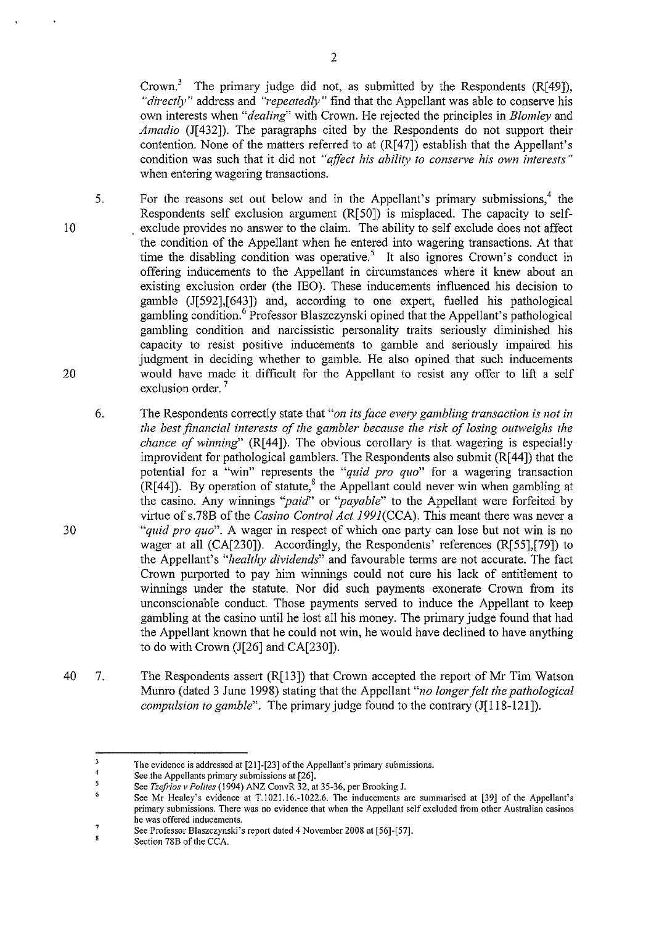Crown.<sup>3</sup> The primary judge did not, as submitted by the Respondents (R[49]), *"directly"* address and *"repeatedly"* find that the Appellant was able to conserve his own interests when *"dealing"* with Crown. He rejected the principles in *Blomley* and *Amadio* (J[432]). The paragraphs cited by the Respondents do not support their contention. None of the matters referred to at (R[47]) establish that the Appellant's condition was such that it did not *"affect his ability to conserve his own interests"*  when entering wagering transactions.

- 5. 10 20 For the reasons set out below and in the Appellant's primary submissions, $4$  the Respondents self exclusion argument (R[50]) is misplaced. The capacity to selfexclude provides no answer to the claim. The ability to self exclude does not affect the condition of the Appellant when he entered into wagering transactions. At that time the disabling condition was operative.<sup>5</sup> It also ignores Crown's conduct in offering inducements to the Appellant in circumstances where it knew about an existing exclusion order (the lEO). These inducements influenced his decision to gamble (1[592],[643]) and, according to one expert, fuelled his pathological gambling condition.6 Professor Blaszczynski opined that the Appellant's pathological gambling condition and narcissistic personality traits seriously diminished his capacity to resist positive inducements to gamble and setiously impaired his judgment in deciding whether to gamble. He also opined that such inducements would have made it difficult for the Appellant to resist any offer to lift a self exclusion order.<sup>7</sup>
	- 6. The Respondents correctly state that "on its face every gambling transaction is not in *the best financial interests of the gambler because the risk of losing outweighs the chance of winning*" (R[44]). The obvious corollary is that wagering is especially improvident for pathological gamblers. The Respondents also submit (R[ 44]) that the potential for a "win" represents the *"quid pro quo"* for a wagering transaction  $(R[44])$ . By operation of statute,<sup>8</sup> the Appellant could never win when gambling at the casino. Any winnings *"paid''* or *"payable"* to the Appellant were forfeited by virtue ofs.78B of the *Casino Control Act* 199J(CCA). This meant there was never a *"quid pro quo".* A wager in respect of which one party can lose but not win is no wager at all (CA[230]). Accordingly, the Respondents' references (R[55],[79]) to the Appellant's *"healthy dividends"* and favourable terms are not accurate. The fact Crown purported to pay him winnings could not cure his lack of entitlement to winnings under the statute. Nor did such payments exonerate Crown from its unconscionable conduct. Those payments served to induce the Appellant to keep gambling at the casino until he lost all his money. The primary judge found that had the Appellant known that he could not win, he would have declined to have anything to do with Crown (J[26] and CA[230]).
- 40 7. The Respondents assert  $(R[13])$  that Crown accepted the report of Mr Tim Watson Mumo (dated 3 June 1998) stating that the Appellant *"no longer felt the pathological compulsion to gamble*". The primary judge found to the contrary (J[118-121]).

 $\overline{\mathbf{3}}$ **The evidence is addressed at [21]-[23] of the Appellant's primary submissions.** 

 $\sqrt{4}$ **See the Appellants primary submissions at [26].** 

 $\overline{\mathbf{5}}$ **See** *Tzefrios v Polites* **(1994) ANZ ConvR 32, at 35-36, per Brooking J.** 

<sup>6</sup> **See Mr Healey's evidence at T.1021.16.-1022.6. The inducements are summarised at [39] of the Appellant's primary submissions. There was no evidence that when the Appellant self excluded from other Australian casinos he was offered inducements.**   $\overline{7}$ 

See Professor Blaszczynski's report dated 4 November 2008 at [56]-[57].  $\mathbf{s}$ 

**Section 788 of the CCA.**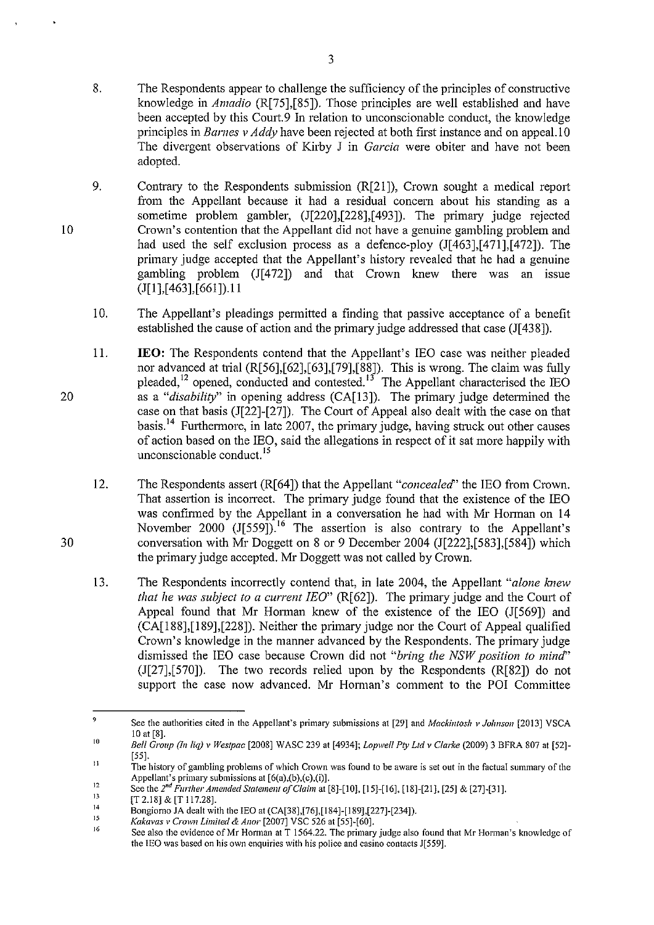- 8. The Respondents appear to challenge the sufficiency of the principles of constructive knowledge in *Amadio* (R[75],[85]). Those principles are well established and have been accepted by this Court.9 In relation to unconscionable conduct, the knowledge principles in *Barnes v Addy* have been rejected at both first instance and on appeal. 10 The divergent observations of Kirby J in *Garcia* were obiter and have not been adopted.
- 9. Contrary to the Respondents submission  $(R[21])$ , Crown sought a medical report from the Appellant because it had a residual concem about his standing as a sometime problem gambler, (J[220],[228],[493]). The primary judge rejected Crown's contention that the Appellant did not have a genuine gambling problem and had used the self exclusion process as a defence-ploy (J[463],[471],[472]). The primary judge accepted that the Appellant's history revealed that he had a genuine gambling problem  $(J[472])$  and that Crown knew there was an issue (J[l],[ 463],[661 ]).11
	- 10. The Appellant's pleadings permitted a finding that passive acceptance of a benefit established the cause of action and the primary judge addressed that case (J[438]).
- II. **lEO:** The Respondents contend that the Appellant's lEO case was neither pleaded nor advanced at trial (R[56],[62],[63],[79],[88]). This is wrong. The claim was fully pleaded,<sup>12</sup> opened, conducted and contested.<sup>13</sup> The Appellant characterised the IEO as a "*disability*" in opening address (CA[13]). The primary judge determined the case on that basis (J[22]-[27]). The Cowt of Appeal also dealt with the case on that basis.<sup>14</sup> Furthermore, in late 2007, the primary judge, having struck out other causes of action based on the IEO, said the allegations in respect of it sat more happily with unconscionable conduct.<sup>15</sup>
- 12. The Respondents assert (R[64]) that the Appellant *"concealed"* the IEO from Crown. That assertion is incorrect. The primary judge found that the existence of the IEO was confirmed by the Appellant in a conversation he had with Mr Honnan on 14 November 2000 (J[559]).<sup>16</sup> The assertion is also contrary to the Appellant's conversation with Mr Doggett on 8 or 9 December 2004 (J[222],[583],[584]) which the primary judge accepted. Mr Doggett was not called by Crown.
- 13. The Respondents incorrectly contend that, in late 2004, the Appellant *"alone /mew that he was subject to a current !EO"* (R[62]). The primary judge and the Cowt of Appeal found that Mr Horman knew of the existence of the IEO  $(I[569])$  and (CA[l88],[189],[228]). Neither the primary judge nor the Court of Appeal qualified Crown's knowledge in the manner advanced by the Respondents. The primary judge dismissed the IEO case because Crown did not *"bring the NSW position to mind"*  (J[27],[570]). The two records relied upon by the Respondents (R[82]) do not support the case now advanced. Mr Horman's comment to the POI Committee

*Kakavas v Crown Limited & Anor* **[2007] VSC 526 at** [55]~[60].

10

30

<sup>9</sup>  10 **See the authorities cited in the Appellant's primary submissions at [29] and** *Mackintosh v Jolmson* **[2013] VSCA**  10 at [8].

*Bell Group (Inliq) v Westpac* [2008] WASC 239 at [4934]; *Lopwe/1 Pty Ltd v Clarke* (2009) 3 BFRA 807 al [52]- [ 55].

II **The history of gambling problems of which Crown was found to be aware is set out in the factual summary of the**  Appellant's primary submissions at  $[6(a),(b),(c),(i)]$ .

<sup>12</sup>  13 See the 2<sup>nd</sup> Further Amended Statement of Claim at [8]-[10], [15]-[16], [18]-[21], [25] & [27]-[31].

<sup>[</sup>T 2.18] & [T 117.28].

<sup>14</sup>  15 Bongiorno JA dealt with the lEO at (CA[38],[76],[184]-[189],[227]-[234]).

<sup>16</sup>  See also the evidence of Mr Horman at T 1564.22. The primary judge also found that Mr Horman's knowledge of **the lEO was based on his own enquiries with his police and casino contacts J[559J.**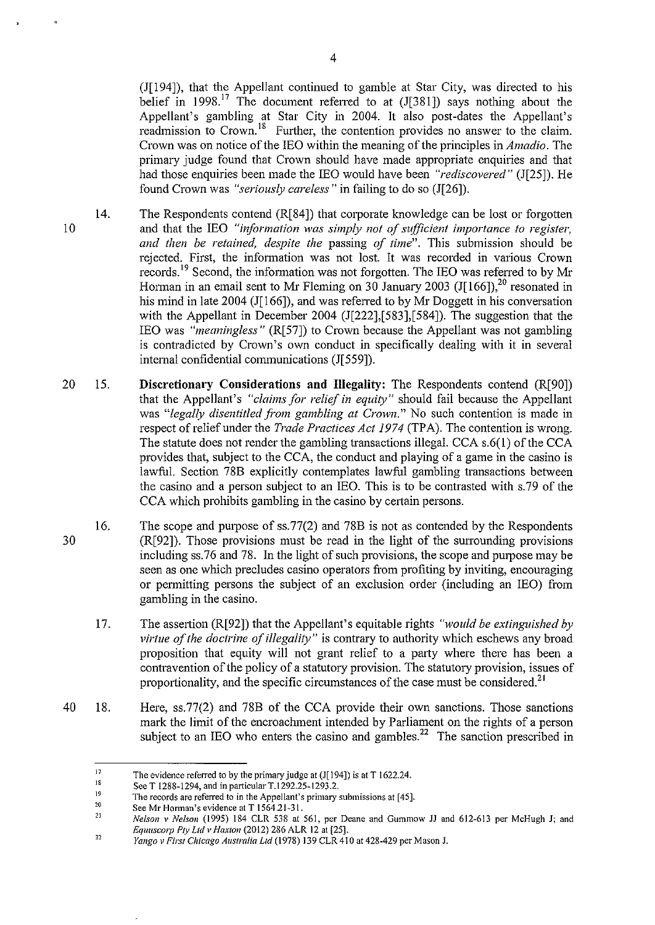$(J[194])$ , that the Appellant continued to gamble at Star City, was directed to his belief in 1998.<sup>17</sup> The document referred to at  $(J[381])$  says nothing about the Appellant's gambling at Star City in 2004. It also post-dates the Appellant's readmission to Crown.<sup>18</sup> Further, the contention provides no answer to the claim. Crown was on notice of the IEO within the meaning of the principles in *Amadio.* The primary judge found that Crown should have made appropriate enquiries and that had those enquiries been made the IEO would have been *"rediscovered"* (J[25]). He found Crown was *"seriously careless"* in failing to do so (J[26]).

- 14. The Respondents contend (R[84]) that corporate knowledge can be lost or forgotten and that the IEO *"information was simply not of sufficient importance to register, and then be retained, despite the* passing *of time".* This submission should be rejected. First, the information was not lost. It was recorded in various Crown records.<sup>19</sup> Second, the information was not forgotten. The IEO was referred to by Mr Horman in an email sent to Mr Fleming on 30 January 2003 (J[166]),<sup>20</sup> resonated in his mind in late 2004 (J[166]), and was referred to by Mr Doggett in his conversation with the Appellant in December 2004 (J[222],[583],[584]). The suggestion that the IEO was *"meaningless"* (R[57]) to Crown because the Appellant was not gambling is contradicted by Crown's own conduct in specifically dealing with it in several intemal confidential communications (J[559]).
- 20 15. **Discretionary Considerations and Illegality:** The Respondents contend (R[90]) that the Appellant's *"claims for relief* in *equity"* should fail because the Appellant was "legally disentitled from gambling at Crown." No such contention is made in respect of relief under the *Trade Practices Act 1974* (TP A). The contention is wrong. The statute does not render the gambling transactions illegal. CCA s.6(1) of the CCA provides that, subject to the CCA, the conduct and playing of a game in the casino is lawful. Section 78B explicitly contemplates lawful gambling transactions between the casino and a person subject to an IEO. This is to be contrasted with s.79 of the CCA which prohibits gambling in the casino by certain persons.
	- 16. The scope and purpose of ss.77(2) and 78B is not as contended by the Respondents  $(R[92])$ . Those provisions must be read in the light of the surrounding provisions including ss.76 and 78. In the light of such provisions, the scope and purpose may be seen as one which precludes casino operators from profiting by inviting, encouraging or permitting persons the subject of an exclusion order (including an IEO) from gambling in the casino.
		- 17. The assertion (R[92]) that the Appellant's equitable rights *"would be extinguished by virtue of the doctrine of illegality"* is contrary to authority which eschews any broad proposition that equity will not grant relief to a party where there has been a contravention of the policy of a statutory provision. The statutory provision, issues of proportionality, and the specific circumstances of the case must be considered.<sup>21</sup>
- 40 18. Here, ss.77(2) and 78B of the CCA provide their own sanctions. Those sanctions mark the limit of the encroaclunent intended by Parliament on the rights of a person subject to an IEO who enters the casino and gambles.<sup>22</sup> The sanction prescribed in

10

<sup>17</sup>  **The evidence referred to by the primary judge at (J[ 194]) is at T 1622.24.** 

<sup>18</sup>  19 See T 1288-1294, and in particular T.1292.25-1293.2.

<sup>20</sup>  **The records are referred to in the Appellant's primary submissions at [45].** 

<sup>21</sup>  **See Mr Horman's evidence at T 1564.21-31.** 

**<sup>22</sup>**  *Nelson v Nelson* **(1995) 184 CLR 538 at 561, per Deane and Gummow** *11* **and 612-613 per McHugh J; and**  *Eq1111SC01p Pty Ltd v Haxton* (2012) 286 ALR 12 at [25].

*Yango v First Chicago Australia Ltd* **(1978) 139 CLR 410 at 428-429 per Mason J.**